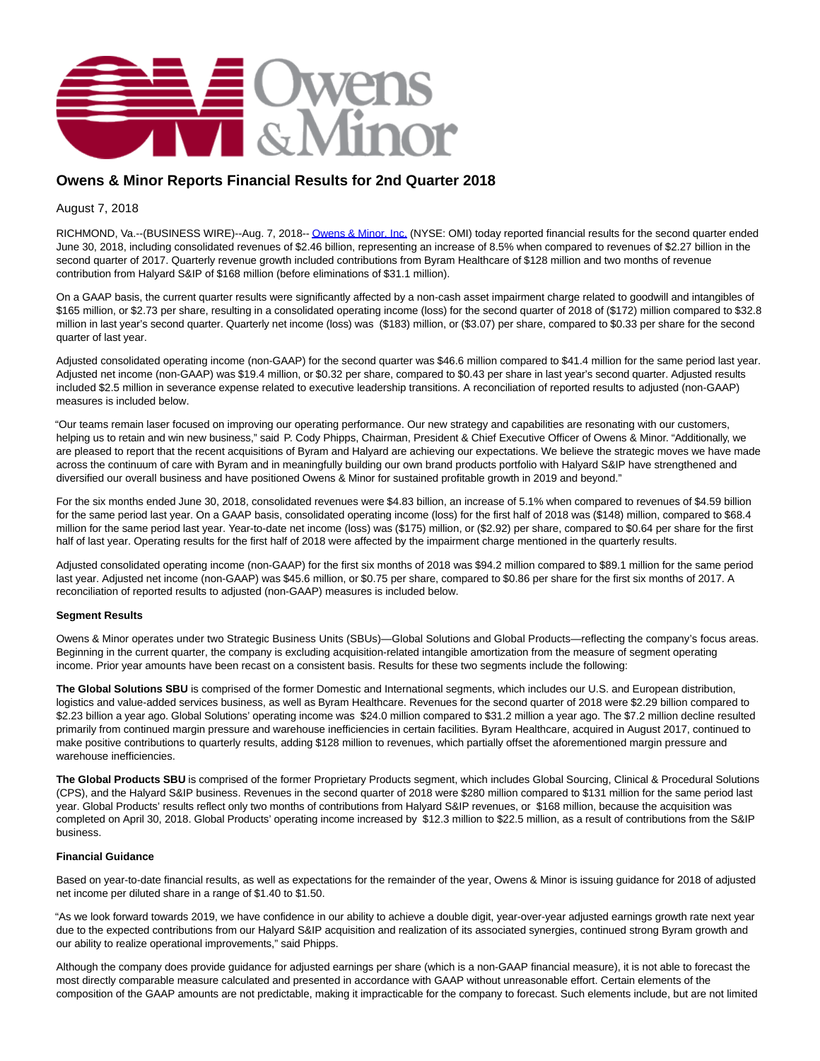

# **Owens & Minor Reports Financial Results for 2nd Quarter 2018**

August 7, 2018

RICHMOND, Va.--(BUSINESS WIRE)--Aug. 7, 2018-[- Owens & Minor, Inc. \(](http://cts.businesswire.com/ct/CT?id=smartlink&url=http%3A%2F%2Fwww.owens-minor.com%2F&esheet=51848683&newsitemid=20180807005213&lan=en-US&anchor=Owens+%26+Minor%2C+Inc.&index=1&md5=dd653a9600a1784038fa2f64b61cd11f)NYSE: OMI) today reported financial results for the second quarter ended June 30, 2018, including consolidated revenues of \$2.46 billion, representing an increase of 8.5% when compared to revenues of \$2.27 billion in the second quarter of 2017. Quarterly revenue growth included contributions from Byram Healthcare of \$128 million and two months of revenue contribution from Halyard S&IP of \$168 million (before eliminations of \$31.1 million).

On a GAAP basis, the current quarter results were significantly affected by a non-cash asset impairment charge related to goodwill and intangibles of \$165 million, or \$2.73 per share, resulting in a consolidated operating income (loss) for the second quarter of 2018 of (\$172) million compared to \$32.8 million in last year's second quarter. Quarterly net income (loss) was (\$183) million, or (\$3.07) per share, compared to \$0.33 per share for the second quarter of last year.

Adjusted consolidated operating income (non-GAAP) for the second quarter was \$46.6 million compared to \$41.4 million for the same period last year. Adjusted net income (non-GAAP) was \$19.4 million, or \$0.32 per share, compared to \$0.43 per share in last year's second quarter. Adjusted results included \$2.5 million in severance expense related to executive leadership transitions. A reconciliation of reported results to adjusted (non-GAAP) measures is included below.

"Our teams remain laser focused on improving our operating performance. Our new strategy and capabilities are resonating with our customers, helping us to retain and win new business," said P. Cody Phipps, Chairman, President & Chief Executive Officer of Owens & Minor. "Additionally, we are pleased to report that the recent acquisitions of Byram and Halyard are achieving our expectations. We believe the strategic moves we have made across the continuum of care with Byram and in meaningfully building our own brand products portfolio with Halyard S&IP have strengthened and diversified our overall business and have positioned Owens & Minor for sustained profitable growth in 2019 and beyond."

For the six months ended June 30, 2018, consolidated revenues were \$4.83 billion, an increase of 5.1% when compared to revenues of \$4.59 billion for the same period last year. On a GAAP basis, consolidated operating income (loss) for the first half of 2018 was (\$148) million, compared to \$68.4 million for the same period last year. Year-to-date net income (loss) was (\$175) million, or (\$2.92) per share, compared to \$0.64 per share for the first half of last year. Operating results for the first half of 2018 were affected by the impairment charge mentioned in the quarterly results.

Adjusted consolidated operating income (non-GAAP) for the first six months of 2018 was \$94.2 million compared to \$89.1 million for the same period last year. Adjusted net income (non-GAAP) was \$45.6 million, or \$0.75 per share, compared to \$0.86 per share for the first six months of 2017. A reconciliation of reported results to adjusted (non-GAAP) measures is included below.

#### **Segment Results**

Owens & Minor operates under two Strategic Business Units (SBUs)—Global Solutions and Global Products—reflecting the company's focus areas. Beginning in the current quarter, the company is excluding acquisition-related intangible amortization from the measure of segment operating income. Prior year amounts have been recast on a consistent basis. Results for these two segments include the following:

**The Global Solutions SBU** is comprised of the former Domestic and International segments, which includes our U.S. and European distribution, logistics and value-added services business, as well as Byram Healthcare. Revenues for the second quarter of 2018 were \$2.29 billion compared to \$2.23 billion a year ago. Global Solutions' operating income was \$24.0 million compared to \$31.2 million a year ago. The \$7.2 million decline resulted primarily from continued margin pressure and warehouse inefficiencies in certain facilities. Byram Healthcare, acquired in August 2017, continued to make positive contributions to quarterly results, adding \$128 million to revenues, which partially offset the aforementioned margin pressure and warehouse inefficiencies.

**The Global Products SBU** is comprised of the former Proprietary Products segment, which includes Global Sourcing, Clinical & Procedural Solutions (CPS), and the Halyard S&IP business. Revenues in the second quarter of 2018 were \$280 million compared to \$131 million for the same period last year. Global Products' results reflect only two months of contributions from Halyard S&IP revenues, or \$168 million, because the acquisition was completed on April 30, 2018. Global Products' operating income increased by \$12.3 million to \$22.5 million, as a result of contributions from the S&IP business.

### **Financial Guidance**

Based on year-to-date financial results, as well as expectations for the remainder of the year, Owens & Minor is issuing guidance for 2018 of adjusted net income per diluted share in a range of \$1.40 to \$1.50.

"As we look forward towards 2019, we have confidence in our ability to achieve a double digit, year-over-year adjusted earnings growth rate next year due to the expected contributions from our Halyard S&IP acquisition and realization of its associated synergies, continued strong Byram growth and our ability to realize operational improvements," said Phipps.

Although the company does provide guidance for adjusted earnings per share (which is a non-GAAP financial measure), it is not able to forecast the most directly comparable measure calculated and presented in accordance with GAAP without unreasonable effort. Certain elements of the composition of the GAAP amounts are not predictable, making it impracticable for the company to forecast. Such elements include, but are not limited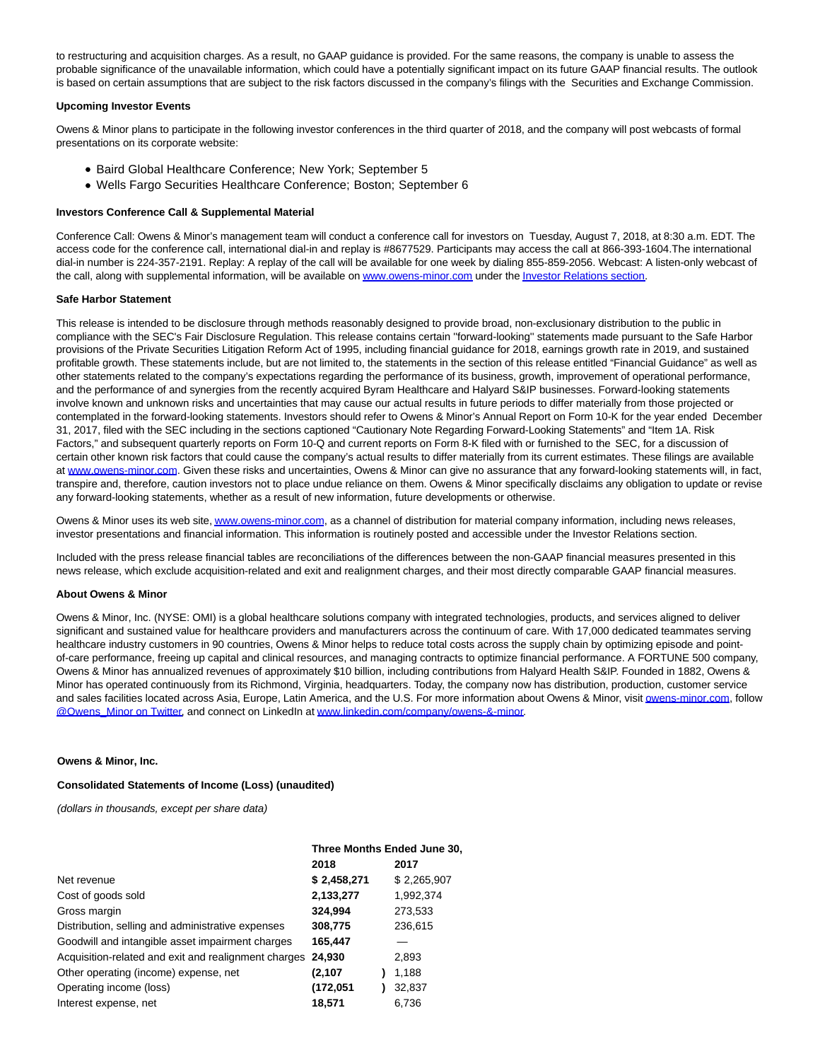to restructuring and acquisition charges. As a result, no GAAP guidance is provided. For the same reasons, the company is unable to assess the probable significance of the unavailable information, which could have a potentially significant impact on its future GAAP financial results. The outlook is based on certain assumptions that are subject to the risk factors discussed in the company's filings with the Securities and Exchange Commission.

### **Upcoming Investor Events**

Owens & Minor plans to participate in the following investor conferences in the third quarter of 2018, and the company will post webcasts of formal presentations on its corporate website:

- Baird Global Healthcare Conference; New York; September 5
- Wells Fargo Securities Healthcare Conference; Boston; September 6

### **Investors Conference Call & Supplemental Material**

Conference Call: Owens & Minor's management team will conduct a conference call for investors on Tuesday, August 7, 2018, at 8:30 a.m. EDT. The access code for the conference call, international dial-in and replay is #8677529. Participants may access the call at 866-393-1604.The international dial-in number is 224-357-2191. Replay: A replay of the call will be available for one week by dialing 855-859-2056. Webcast: A listen-only webcast of the call, along with supplemental information, will be available o[n www.owens-minor.com u](http://cts.businesswire.com/ct/CT?id=smartlink&url=http%3A%2F%2Fwww.owens-minor.com&esheet=51848683&newsitemid=20180807005213&lan=en-US&anchor=www.owens-minor.com&index=2&md5=0ddaa43e4232bc9c6099bc2bbdd34244)nder th[e Investor Relations section.](http://cts.businesswire.com/ct/CT?id=smartlink&url=http%3A%2F%2Finvestors.owens-minor.com%2Fevents.cfm&esheet=51848683&newsitemid=20180807005213&lan=en-US&anchor=Investor+Relations+section&index=3&md5=6dd98574d2434d064d90a16b24cd1d9f)

### **Safe Harbor Statement**

This release is intended to be disclosure through methods reasonably designed to provide broad, non-exclusionary distribution to the public in compliance with the SEC's Fair Disclosure Regulation. This release contains certain ''forward-looking'' statements made pursuant to the Safe Harbor provisions of the Private Securities Litigation Reform Act of 1995, including financial guidance for 2018, earnings growth rate in 2019, and sustained profitable growth. These statements include, but are not limited to, the statements in the section of this release entitled "Financial Guidance" as well as other statements related to the company's expectations regarding the performance of its business, growth, improvement of operational performance, and the performance of and synergies from the recently acquired Byram Healthcare and Halyard S&IP businesses. Forward-looking statements involve known and unknown risks and uncertainties that may cause our actual results in future periods to differ materially from those projected or contemplated in the forward-looking statements. Investors should refer to Owens & Minor's Annual Report on Form 10-K for the year ended December 31, 2017, filed with the SEC including in the sections captioned "Cautionary Note Regarding Forward-Looking Statements" and "Item 1A. Risk Factors," and subsequent quarterly reports on Form 10-Q and current reports on Form 8-K filed with or furnished to the SEC, for a discussion of certain other known risk factors that could cause the company's actual results to differ materially from its current estimates. These filings are available at [www.owens-minor.com.](http://cts.businesswire.com/ct/CT?id=smartlink&url=http%3A%2F%2Fwww.owens-minor.com&esheet=51848683&newsitemid=20180807005213&lan=en-US&anchor=www.owens-minor.com&index=4&md5=30aecd27f32c5f6d2b9526994750a0fa) Given these risks and uncertainties, Owens & Minor can give no assurance that any forward-looking statements will, in fact, transpire and, therefore, caution investors not to place undue reliance on them. Owens & Minor specifically disclaims any obligation to update or revise any forward-looking statements, whether as a result of new information, future developments or otherwise.

Owens & Minor uses its web site[, www.owens-minor.com,](http://cts.businesswire.com/ct/CT?id=smartlink&url=http%3A%2F%2Fwww.owens-minor.com&esheet=51848683&newsitemid=20180807005213&lan=en-US&anchor=www.owens-minor.com&index=5&md5=22385dcc7affb6a0578eef1c659ba102) as a channel of distribution for material company information, including news releases, investor presentations and financial information. This information is routinely posted and accessible under the Investor Relations section.

Included with the press release financial tables are reconciliations of the differences between the non-GAAP financial measures presented in this news release, which exclude acquisition-related and exit and realignment charges, and their most directly comparable GAAP financial measures.

#### **About Owens & Minor**

Owens & Minor, Inc. (NYSE: OMI) is a global healthcare solutions company with integrated technologies, products, and services aligned to deliver significant and sustained value for healthcare providers and manufacturers across the continuum of care. With 17,000 dedicated teammates serving healthcare industry customers in 90 countries, Owens & Minor helps to reduce total costs across the supply chain by optimizing episode and pointof-care performance, freeing up capital and clinical resources, and managing contracts to optimize financial performance. A FORTUNE 500 company, Owens & Minor has annualized revenues of approximately \$10 billion, including contributions from Halyard Health S&IP. Founded in 1882, Owens & Minor has operated continuously from its Richmond, Virginia, headquarters. Today, the company now has distribution, production, customer service and sales facilities located across Asia, Europe, Latin America, and the U.S. For more information about Owens & Minor, visi[t owens-minor.com,](http://cts.businesswire.com/ct/CT?id=smartlink&url=http%3A%2F%2Fwww.owens-minor.com&esheet=51848683&newsitemid=20180807005213&lan=en-US&anchor=owens-minor.com&index=6&md5=74e09ca15a086aea27d044c35c5d8b87) follow [@Owens\\_Minor on Twitter,](http://cts.businesswire.com/ct/CT?id=smartlink&url=https%3A%2F%2Ftwitter.com%2FOwens_Minor&esheet=51848683&newsitemid=20180807005213&lan=en-US&anchor=%40Owens_Minor+on+Twitter&index=7&md5=c7caa392f8ff5507f21f9ad1d8a85cb6) and connect on LinkedIn at [www.linkedin.com/company/owens-&-minor.](http://cts.businesswire.com/ct/CT?id=smartlink&url=http%3A%2F%2Fwww.linkedin.com%2Fcompany%2Fowens-%26-minor&esheet=51848683&newsitemid=20180807005213&lan=en-US&anchor=www.linkedin.com%2Fcompany%2Fowens-%26-minor&index=8&md5=cb75432efa6097d4b6fd51ce11290925)

#### **Owens & Minor, Inc.**

### **Consolidated Statements of Income (Loss) (unaudited)**

(dollars in thousands, except per share data)

|                                                      | Three Months Ended June 30, |  |             |  |  |
|------------------------------------------------------|-----------------------------|--|-------------|--|--|
|                                                      | 2018                        |  | 2017        |  |  |
| Net revenue                                          | \$2,458,271                 |  | \$2,265,907 |  |  |
| Cost of goods sold                                   | 2,133,277                   |  | 1,992,374   |  |  |
| Gross margin                                         | 324,994                     |  | 273,533     |  |  |
| Distribution, selling and administrative expenses    | 308,775                     |  | 236,615     |  |  |
| Goodwill and intangible asset impairment charges     | 165,447                     |  |             |  |  |
| Acquisition-related and exit and realignment charges | 24.930                      |  | 2,893       |  |  |
| Other operating (income) expense, net                | (2, 107)                    |  | 1,188       |  |  |
| Operating income (loss)                              | (172, 051)                  |  | 32,837      |  |  |
| Interest expense, net                                | 18,571                      |  | 6,736       |  |  |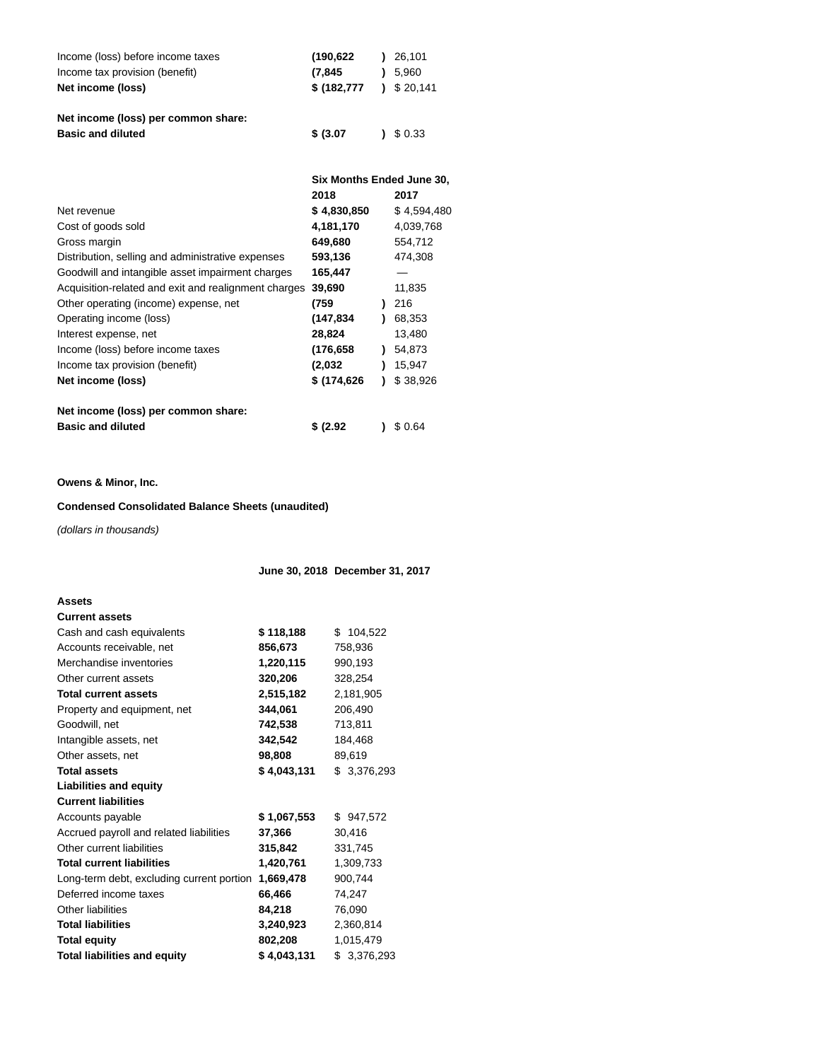| Income (loss) before income taxes<br>Income tax provision (benefit)<br>Net income (loss) | (190,622<br>(7,845 | ) 26,101<br>5.960<br>\$(182,777) \$20,141 |
|------------------------------------------------------------------------------------------|--------------------|-------------------------------------------|
| Net income (loss) per common share:<br><b>Basic and diluted</b>                          | \$ (3.07)          | 50.33                                     |

|                                                      | Six Months Ended June 30, |  |             |  |  |  |
|------------------------------------------------------|---------------------------|--|-------------|--|--|--|
|                                                      | 2018                      |  | 2017        |  |  |  |
| Net revenue                                          | \$4,830,850               |  | \$4,594,480 |  |  |  |
| Cost of goods sold                                   | 4,181,170                 |  | 4,039,768   |  |  |  |
| Gross margin                                         | 649,680                   |  | 554,712     |  |  |  |
| Distribution, selling and administrative expenses    | 593,136                   |  | 474,308     |  |  |  |
| Goodwill and intangible asset impairment charges     | 165,447                   |  |             |  |  |  |
| Acquisition-related and exit and realignment charges | 39,690                    |  | 11,835      |  |  |  |
| Other operating (income) expense, net                | (759                      |  | 216         |  |  |  |
| Operating income (loss)                              | (147,834                  |  | 68,353      |  |  |  |
| Interest expense, net                                | 28,824                    |  | 13,480      |  |  |  |
| Income (loss) before income taxes                    | (176,658)                 |  | 54,873      |  |  |  |
| Income tax provision (benefit)                       | (2.032                    |  | 15,947      |  |  |  |
| Net income (loss)                                    | \$(174, 626)              |  | \$38,926    |  |  |  |
| Net income (loss) per common share:                  |                           |  |             |  |  |  |
| <b>Basic and diluted</b>                             | \$ (2.92)                 |  | \$0.64      |  |  |  |

# **Owens & Minor, Inc.**

# **Condensed Consolidated Balance Sheets (unaudited)**

(dollars in thousands)

**June 30, 2018 December 31, 2017**

| Assets |
|--------|
|--------|

| <b>Current assets</b>                     |             |             |
|-------------------------------------------|-------------|-------------|
| Cash and cash equivalents                 | \$118,188   | \$104,522   |
| Accounts receivable, net                  | 856,673     | 758,936     |
| Merchandise inventories                   | 1,220,115   | 990,193     |
| Other current assets                      | 320,206     | 328,254     |
| <b>Total current assets</b>               | 2,515,182   | 2,181,905   |
| Property and equipment, net               | 344,061     | 206,490     |
| Goodwill, net                             | 742,538     | 713,811     |
| Intangible assets, net                    | 342,542     | 184,468     |
| Other assets, net                         | 98,808      | 89,619      |
| <b>Total assets</b>                       | \$4,043,131 | \$3,376,293 |
| <b>Liabilities and equity</b>             |             |             |
| <b>Current liabilities</b>                |             |             |
| Accounts payable                          | \$1,067,553 | \$947,572   |
| Accrued payroll and related liabilities   | 37,366      | 30,416      |
| Other current liabilities                 | 315,842     | 331,745     |
| <b>Total current liabilities</b>          | 1,420,761   | 1,309,733   |
| Long-term debt, excluding current portion | 1,669,478   | 900,744     |
| Deferred income taxes                     | 66,466      | 74,247      |
| Other liabilities                         | 84,218      | 76,090      |
| <b>Total liabilities</b>                  | 3,240,923   | 2,360,814   |
| <b>Total equity</b>                       | 802,208     | 1,015,479   |
| <b>Total liabilities and equity</b>       | \$4,043,131 | \$3,376,293 |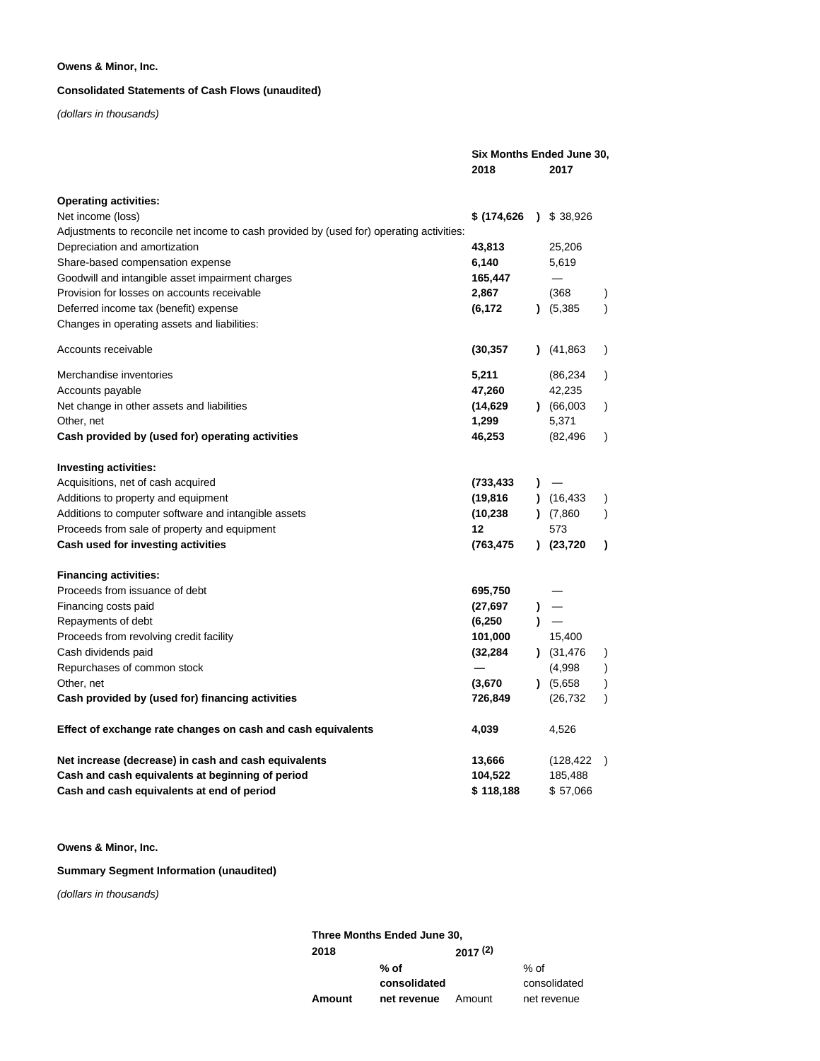# **Owens & Minor, Inc.**

# **Consolidated Statements of Cash Flows (unaudited)**

(dollars in thousands)

|                                                                                          | Six Months Ended June 30, |  |                          |               |
|------------------------------------------------------------------------------------------|---------------------------|--|--------------------------|---------------|
|                                                                                          | 2018                      |  | 2017                     |               |
|                                                                                          |                           |  |                          |               |
| <b>Operating activities:</b>                                                             |                           |  |                          |               |
| Net income (loss)                                                                        | \$ (174,626) \$38,926     |  |                          |               |
| Adjustments to reconcile net income to cash provided by (used for) operating activities: |                           |  |                          |               |
| Depreciation and amortization                                                            | 43,813                    |  | 25,206                   |               |
| Share-based compensation expense                                                         | 6,140                     |  | 5,619                    |               |
| Goodwill and intangible asset impairment charges                                         | 165,447                   |  | $\overline{\phantom{0}}$ |               |
| Provision for losses on accounts receivable                                              | 2,867                     |  | (368)                    | $\lambda$     |
| Deferred income tax (benefit) expense                                                    | (6, 172)                  |  | (5,385)                  | $\lambda$     |
| Changes in operating assets and liabilities:                                             |                           |  |                          |               |
| Accounts receivable                                                                      | (30, 357)                 |  | (41,863)                 | $\lambda$     |
| Merchandise inventories                                                                  | 5,211                     |  | (86, 234)                | $\lambda$     |
| Accounts payable                                                                         | 47,260                    |  | 42,235                   |               |
| Net change in other assets and liabilities                                               | (14,629                   |  | (66,003)                 | $\lambda$     |
| Other, net                                                                               | 1,299                     |  | 5,371                    |               |
| Cash provided by (used for) operating activities                                         | 46,253                    |  | (82, 496)                | $\lambda$     |
|                                                                                          |                           |  |                          |               |
| <b>Investing activities:</b>                                                             |                           |  |                          |               |
| Acquisitions, net of cash acquired                                                       | (733,433                  |  |                          |               |
| Additions to property and equipment                                                      | (19,816                   |  | (16, 433)                | $\lambda$     |
| Additions to computer software and intangible assets                                     | (10, 238)                 |  | (7,860)                  | $\lambda$     |
| Proceeds from sale of property and equipment                                             | 12                        |  | 573                      |               |
| Cash used for investing activities                                                       | (763,475                  |  | (23, 720)                | $\lambda$     |
| <b>Financing activities:</b>                                                             |                           |  |                          |               |
| Proceeds from issuance of debt                                                           | 695,750                   |  |                          |               |
| Financing costs paid                                                                     | (27, 697)                 |  | $\equiv$                 |               |
| Repayments of debt                                                                       | (6, 250)                  |  | $\mathbf{I}$             |               |
| Proceeds from revolving credit facility                                                  | 101,000                   |  | 15,400                   |               |
| Cash dividends paid                                                                      | (32, 284)                 |  | (31, 476)                | $\lambda$     |
| Repurchases of common stock                                                              |                           |  | (4,998)                  | $\mathcal{E}$ |
| Other, net                                                                               | (3,670                    |  | (5,658)                  | $\mathcal{E}$ |
| Cash provided by (used for) financing activities                                         | 726,849                   |  | (26, 732)                | $\lambda$     |
|                                                                                          |                           |  |                          |               |
| Effect of exchange rate changes on cash and cash equivalents                             | 4,039                     |  | 4,526                    |               |
| Net increase (decrease) in cash and cash equivalents                                     | 13,666                    |  | (128,422)                | $\lambda$     |
| Cash and cash equivalents at beginning of period                                         | 104,522                   |  | 185,488                  |               |
| Cash and cash equivalents at end of period                                               | \$118,188                 |  | \$57,066                 |               |
|                                                                                          |                           |  |                          |               |

# **Owens & Minor, Inc.**

# **Summary Segment Information (unaudited)**

(dollars in thousands)

|        | Three Months Ended June 30, |         |              |
|--------|-----------------------------|---------|--------------|
| 2018   |                             | 2017(2) |              |
|        | % of                        |         | % of         |
|        | consolidated                |         | consolidated |
| Amount | net revenue                 | Amount  | net revenue  |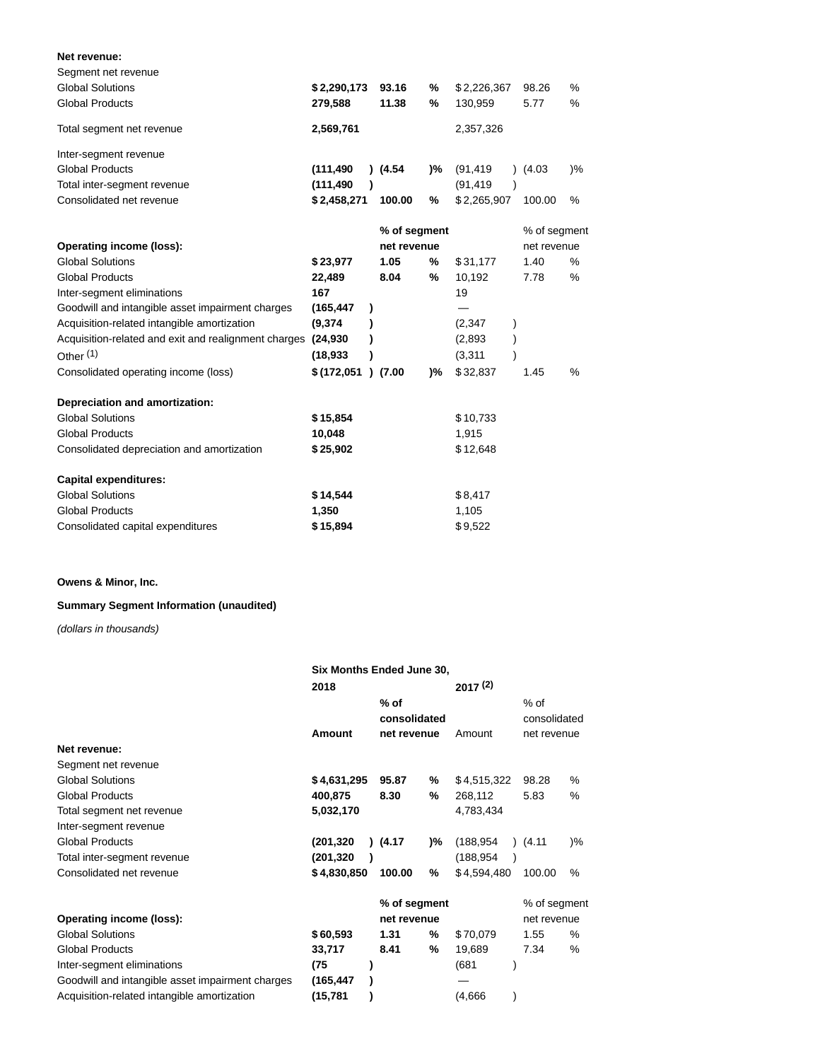| \$2,290,173<br>%<br>93.16  | \$2,226,367<br>%<br>98.26     |
|----------------------------|-------------------------------|
| 279,588<br>%<br>11.38      | 5.77<br>%<br>130.959          |
| 2,569,761                  | 2,357,326                     |
|                            |                               |
| (111.490)<br>)%<br>(4.54)  | )%<br>(91.419)<br>(4.03)      |
| (111.490)                  | (91.419)                      |
| \$2,458,271<br>%<br>100.00 | \$2,265,907<br>100.00<br>$\%$ |
|                            |                               |

| Operating income (loss):                             |             | % of segment<br>net revenue |        |    |          |  | % of segment<br>net revenue |      |
|------------------------------------------------------|-------------|-----------------------------|--------|----|----------|--|-----------------------------|------|
| <b>Global Solutions</b>                              | \$23,977    |                             | 1.05   | %  | \$31,177 |  | 1.40                        | ℅    |
| <b>Global Products</b>                               | 22,489      |                             | 8.04   | %  | 10,192   |  | 7.78                        | %    |
| Inter-segment eliminations                           | 167         |                             |        |    | 19       |  |                             |      |
| Goodwill and intangible asset impairment charges     | (165, 447)  |                             |        |    |          |  |                             |      |
| Acquisition-related intangible amortization          | (9,374      |                             |        |    | (2,347)  |  |                             |      |
| Acquisition-related and exit and realignment charges | (24, 930)   |                             |        |    | (2,893)  |  |                             |      |
| Other $(1)$                                          | (18, 933)   |                             |        |    | (3,311)  |  |                             |      |
| Consolidated operating income (loss)                 | \$(172,051) |                             | (7.00) | )% | \$32,837 |  | 1.45                        | $\%$ |
| Depreciation and amortization:                       |             |                             |        |    |          |  |                             |      |
| <b>Global Solutions</b>                              | \$15,854    |                             |        |    | \$10,733 |  |                             |      |
| <b>Global Products</b>                               | 10,048      |                             |        |    | 1,915    |  |                             |      |
| Consolidated depreciation and amortization           | \$25,902    |                             |        |    | \$12,648 |  |                             |      |
| <b>Capital expenditures:</b>                         |             |                             |        |    |          |  |                             |      |
| <b>Global Solutions</b>                              | \$14,544    |                             |        |    | \$8,417  |  |                             |      |
| <b>Global Products</b>                               | 1,350       |                             |        |    | 1,105    |  |                             |      |
| Consolidated capital expenditures                    | \$15,894    |                             |        |    | \$9,522  |  |                             |      |

# **Owens & Minor, Inc.**

# **Summary Segment Information (unaudited)**

(dollars in thousands)

|                                                  | Six Months Ended June 30, |              |        |                     |              |       |
|--------------------------------------------------|---------------------------|--------------|--------|---------------------|--------------|-------|
|                                                  | 2018                      |              |        | 2017 <sup>(2)</sup> |              |       |
|                                                  |                           | $%$ of       |        |                     | $%$ of       |       |
|                                                  |                           | consolidated |        |                     | consolidated |       |
|                                                  | Amount                    | net revenue  | Amount |                     | net revenue  |       |
| Net revenue:                                     |                           |              |        |                     |              |       |
| Segment net revenue                              |                           |              |        |                     |              |       |
| <b>Global Solutions</b>                          | \$4,631,295               | 95.87        | %      | \$4,515,322         | 98.28        | $\%$  |
| <b>Global Products</b>                           | 400,875                   | 8.30         | %      | 268,112             | 5.83         | $\%$  |
| Total segment net revenue                        | 5,032,170                 |              |        | 4,783,434           |              |       |
| Inter-segment revenue                            |                           |              |        |                     |              |       |
| <b>Global Products</b>                           | (201, 320)                | ) (4.17      | )%     | (188,954)           | (4.11)       | $)\%$ |
| Total inter-segment revenue                      | (201,320                  |              |        | (188,954)           |              |       |
| Consolidated net revenue                         | \$4,830,850               | 100.00       | %      | \$4,594,480         | 100.00       | $\%$  |
|                                                  |                           | % of segment |        |                     | % of segment |       |
| Operating income (loss):                         |                           | net revenue  |        |                     | net revenue  |       |
| <b>Global Solutions</b>                          | \$60,593                  | 1.31         | %      | \$70,079            | 1.55         | ℅     |
| <b>Global Products</b>                           | 33,717                    | 8.41         | %      | 19,689              | 7.34         | $\%$  |
| Inter-segment eliminations                       | (75                       |              |        | (681)               |              |       |
| Goodwill and intangible asset impairment charges | (165,447                  |              |        |                     |              |       |
| Acquisition-related intangible amortization      | (15,781                   |              |        | (4,666              |              |       |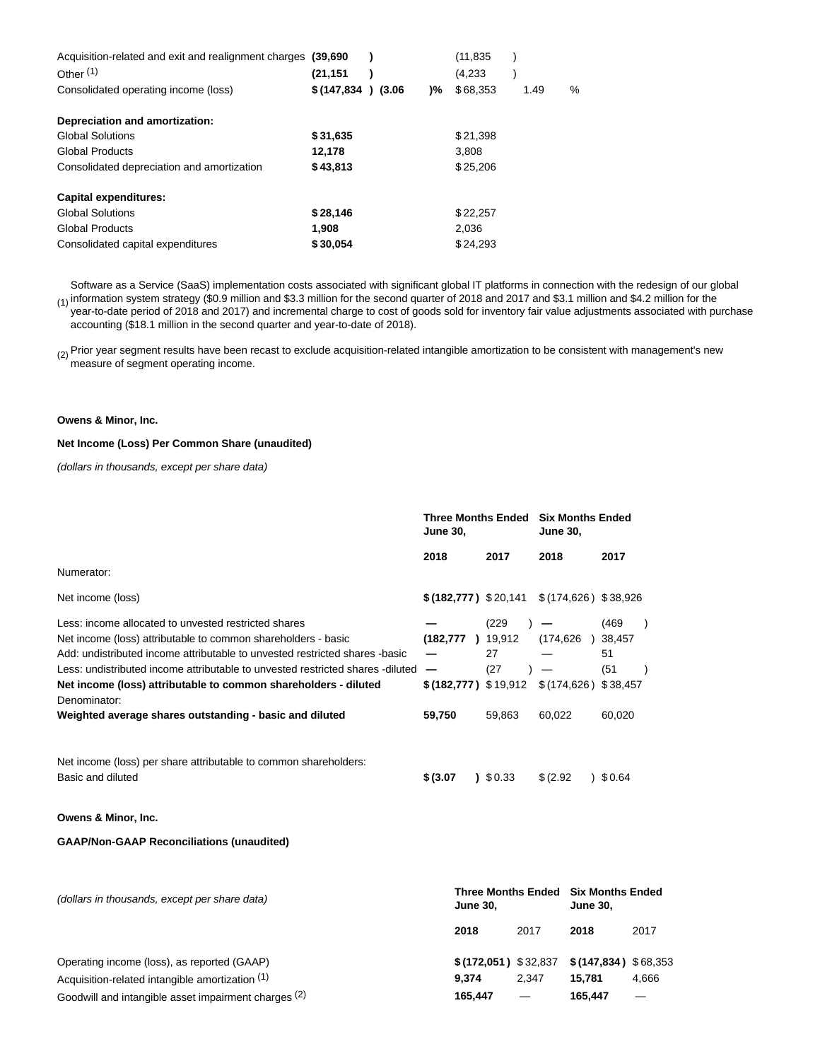| Acquisition-related and exit and realignment charges (39,690 |                     |    | (11, 835) |      |   |
|--------------------------------------------------------------|---------------------|----|-----------|------|---|
| Other $(1)$                                                  | (21,151             |    | (4,233)   |      |   |
| Consolidated operating income (loss)                         | $$(147,834)$ (3.06) | )% | \$68,353  | 1.49 | % |
| Depreciation and amortization:                               |                     |    |           |      |   |
| <b>Global Solutions</b>                                      | \$31,635            |    | \$21,398  |      |   |
| <b>Global Products</b>                                       | 12,178              |    | 3.808     |      |   |
| Consolidated depreciation and amortization                   | \$43,813            |    | \$25,206  |      |   |
| <b>Capital expenditures:</b>                                 |                     |    |           |      |   |
| Global Solutions                                             | \$28,146            |    | \$22,257  |      |   |
| <b>Global Products</b>                                       | 1.908               |    | 2,036     |      |   |
| Consolidated capital expenditures                            | \$30.054            |    | \$24.293  |      |   |

(1) information system strategy (\$0.9 million and \$3.3 million for the second quarter of 2018 and 2017 and \$3.1 million and \$4.2 million for the Software as a Service (SaaS) implementation costs associated with significant global IT platforms in connection with the redesign of our global year-to-date period of 2018 and 2017) and incremental charge to cost of goods sold for inventory fair value adjustments associated with purchase accounting (\$18.1 million in the second quarter and year-to-date of 2018).

(2) Prior year segment results have been recast to exclude acquisition-related intangible amortization to be consistent with management's new measure of segment operating income.

### **Owens & Minor, Inc.**

## **Net Income (Loss) Per Common Share (unaudited)**

(dollars in thousands, except per share data)

|                                                                                                                                                                                                                                                                                                                                                                                                                                      | Three Months Ended Six Months Ended<br><b>June 30,</b>   |                              | <b>June 30.</b>                                                                               |                                         |  |
|--------------------------------------------------------------------------------------------------------------------------------------------------------------------------------------------------------------------------------------------------------------------------------------------------------------------------------------------------------------------------------------------------------------------------------------|----------------------------------------------------------|------------------------------|-----------------------------------------------------------------------------------------------|-----------------------------------------|--|
|                                                                                                                                                                                                                                                                                                                                                                                                                                      | 2018                                                     | 2017                         | 2018                                                                                          | 2017                                    |  |
| Numerator:                                                                                                                                                                                                                                                                                                                                                                                                                           |                                                          |                              |                                                                                               |                                         |  |
| Net income (loss)                                                                                                                                                                                                                                                                                                                                                                                                                    |                                                          |                              | $$ (182,777) $20,141 $ (174,626) $38,926$                                                     |                                         |  |
| Less: income allocated to unvested restricted shares<br>Net income (loss) attributable to common shareholders - basic<br>Add: undistributed income attributable to unvested restricted shares -basic<br>Less: undistributed income attributable to unvested restricted shares -diluted<br>Net income (loss) attributable to common shareholders - diluted<br>Denominator:<br>Weighted average shares outstanding - basic and diluted | $(182,777)$ 19,912<br>$\overline{\phantom{0}}$<br>59,750 | (229<br>27<br>(27)<br>59,863 | (174, 626)<br>$\overline{\phantom{m}}$<br>$$ (182,777) $19.912 $ (174.626) $38.457$<br>60,022 | (469)<br>38,457<br>51<br>(51)<br>60,020 |  |
| Net income (loss) per share attributable to common shareholders:<br>Basic and diluted                                                                                                                                                                                                                                                                                                                                                | \$ (3.07)                                                | $)$ \$0.33                   | \$ (2.92)                                                                                     | 30.64                                   |  |
| Owens & Minor, Inc.                                                                                                                                                                                                                                                                                                                                                                                                                  |                                                          |                              |                                                                                               |                                         |  |
| <b>GAAP/Non-GAAP Reconciliations (unaudited)</b>                                                                                                                                                                                                                                                                                                                                                                                     |                                                          |                              |                                                                                               |                                         |  |
| (dollars in thousands, except per share data)                                                                                                                                                                                                                                                                                                                                                                                        | <b>June 30,</b>                                          | <b>Three Months Ended</b>    | <b>June 30,</b>                                                                               | <b>Six Months Ended</b>                 |  |
|                                                                                                                                                                                                                                                                                                                                                                                                                                      | 2018                                                     | 2017                         | 2018                                                                                          | 2017                                    |  |

Operating income (loss), as reported (GAAP) **\$ (172,051 )** \$ 32,837 **\$ (147,834 )** \$ 68,353 Acquisition-related intangible amortization (1) **9,374** 2,347 **15,781** 4,666 Goodwill and intangible asset impairment charges <sup>(2)</sup> **165,447** — **165,447** — **165,447**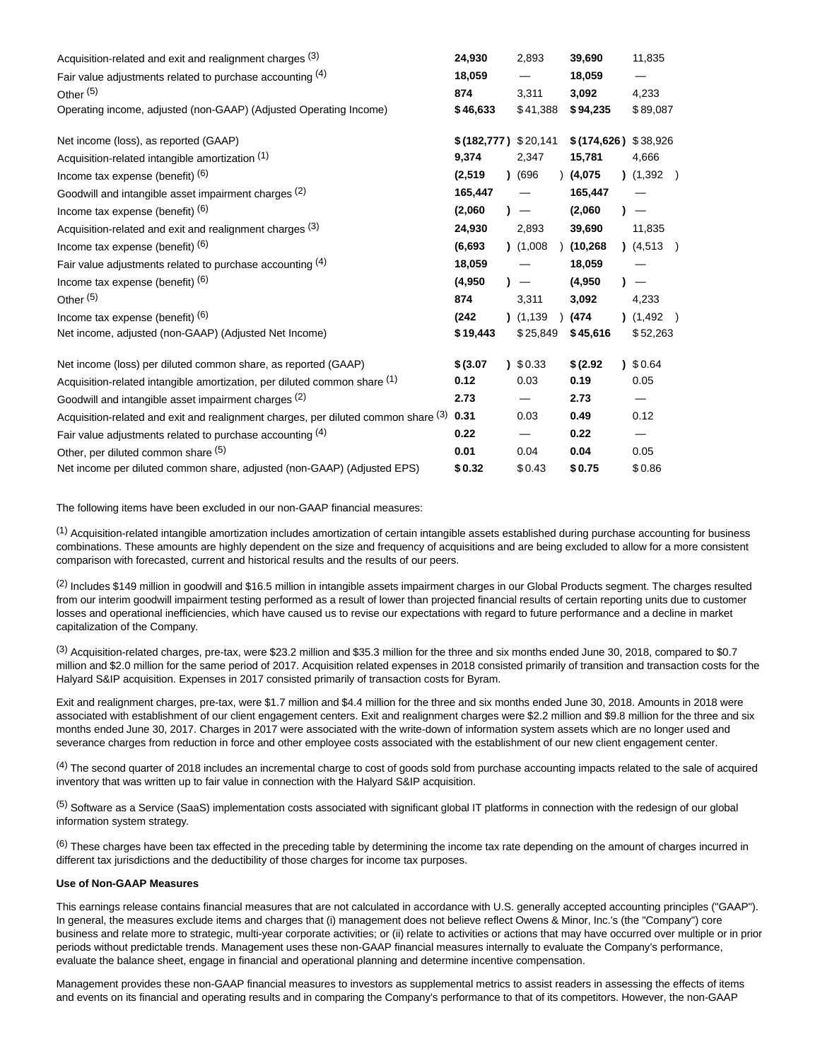| Acquisition-related and exit and realignment charges (3)                           | 24,930                 | 2,893                           | 39,690                 | 11,835   |  |
|------------------------------------------------------------------------------------|------------------------|---------------------------------|------------------------|----------|--|
| Fair value adjustments related to purchase accounting $(4)$                        | 18,059                 |                                 | 18,059                 |          |  |
| Other <sup>(5)</sup>                                                               | 874                    | 3,311                           | 3,092                  | 4,233    |  |
| Operating income, adjusted (non-GAAP) (Adjusted Operating Income)                  | \$46,633               | \$41,388                        | \$94,235               | \$89,087 |  |
| Net income (loss), as reported (GAAP)                                              | $$(182,777)$ $$20,141$ |                                 | $$(174,626)$ $$38,926$ |          |  |
| Acquisition-related intangible amortization (1)                                    | 9,374                  | 2,347                           | 15,781                 | 4,666    |  |
| Income tax expense (benefit) $(6)$                                                 | (2, 519)               | $)$ (696)                       | (4,075)                | (1,392)  |  |
| Goodwill and intangible asset impairment charges (2)                               | 165,447                |                                 | 165,447                |          |  |
| Income tax expense (benefit) (6)                                                   | (2,060)                | $\hspace{0.1mm}-\hspace{0.1mm}$ | (2,060)                |          |  |
| Acquisition-related and exit and realignment charges (3)                           | 24,930                 | 2,893                           | 39,690                 | 11,835   |  |
| Income tax expense (benefit) $(6)$                                                 | (6, 693)               | (1,008)                         | (10, 268)              | (4,513)  |  |
| Fair value adjustments related to purchase accounting $(4)$                        | 18,059                 |                                 | 18,059                 |          |  |
| Income tax expense (benefit) $(6)$                                                 | (4,950)                | $\hspace{0.1mm}-\hspace{0.1mm}$ | (4,950)                |          |  |
| Other <sup>(5)</sup>                                                               | 874                    | 3,311                           | 3,092                  | 4,233    |  |
| Income tax expense (benefit) $(6)$                                                 | (242)                  | (1, 139)                        | (474                   | (1, 492) |  |
| Net income, adjusted (non-GAAP) (Adjusted Net Income)                              | \$19,443               | \$25,849                        | \$45,616               | \$52,263 |  |
| Net income (loss) per diluted common share, as reported (GAAP)                     | \$ (3.07)              | 80.33                           | \$(2.92)               | \$0.64   |  |
| Acquisition-related intangible amortization, per diluted common share (1)          | 0.12                   | 0.03                            | 0.19                   | 0.05     |  |
| Goodwill and intangible asset impairment charges (2)                               | 2.73                   |                                 | 2.73                   |          |  |
| Acquisition-related and exit and realignment charges, per diluted common share (3) | 0.31                   | 0.03                            | 0.49                   | 0.12     |  |
| Fair value adjustments related to purchase accounting $(4)$                        | 0.22                   |                                 | 0.22                   |          |  |
| Other, per diluted common share (5)                                                | 0.01                   | 0.04                            | 0.04                   | 0.05     |  |
| Net income per diluted common share, adjusted (non-GAAP) (Adjusted EPS)            | \$0.32                 | \$0.43                          | \$0.75                 | \$0.86   |  |

The following items have been excluded in our non-GAAP financial measures:

(1) Acquisition-related intangible amortization includes amortization of certain intangible assets established during purchase accounting for business combinations. These amounts are highly dependent on the size and frequency of acquisitions and are being excluded to allow for a more consistent comparison with forecasted, current and historical results and the results of our peers.

<sup>(2)</sup> Includes \$149 million in goodwill and \$16.5 million in intangible assets impairment charges in our Global Products segment. The charges resulted from our interim goodwill impairment testing performed as a result of lower than projected financial results of certain reporting units due to customer losses and operational inefficiencies, which have caused us to revise our expectations with regard to future performance and a decline in market capitalization of the Company.

 $^{(3)}$  Acquisition-related charges, pre-tax, were \$23.2 million and \$35.3 million for the three and six months ended June 30, 2018, compared to \$0.7 million and \$2.0 million for the same period of 2017. Acquisition related expenses in 2018 consisted primarily of transition and transaction costs for the Halyard S&IP acquisition. Expenses in 2017 consisted primarily of transaction costs for Byram.

Exit and realignment charges, pre-tax, were \$1.7 million and \$4.4 million for the three and six months ended June 30, 2018. Amounts in 2018 were associated with establishment of our client engagement centers. Exit and realignment charges were \$2.2 million and \$9.8 million for the three and six months ended June 30, 2017. Charges in 2017 were associated with the write-down of information system assets which are no longer used and severance charges from reduction in force and other employee costs associated with the establishment of our new client engagement center.

(4) The second quarter of 2018 includes an incremental charge to cost of goods sold from purchase accounting impacts related to the sale of acquired inventory that was written up to fair value in connection with the Halyard S&IP acquisition.

(5) Software as a Service (SaaS) implementation costs associated with significant global IT platforms in connection with the redesign of our global information system strategy.

(6) These charges have been tax effected in the preceding table by determining the income tax rate depending on the amount of charges incurred in different tax jurisdictions and the deductibility of those charges for income tax purposes.

### **Use of Non-GAAP Measures**

This earnings release contains financial measures that are not calculated in accordance with U.S. generally accepted accounting principles ("GAAP"). In general, the measures exclude items and charges that (i) management does not believe reflect Owens & Minor, Inc.'s (the "Company") core business and relate more to strategic, multi-year corporate activities; or (ii) relate to activities or actions that may have occurred over multiple or in prior periods without predictable trends. Management uses these non-GAAP financial measures internally to evaluate the Company's performance, evaluate the balance sheet, engage in financial and operational planning and determine incentive compensation.

Management provides these non-GAAP financial measures to investors as supplemental metrics to assist readers in assessing the effects of items and events on its financial and operating results and in comparing the Company's performance to that of its competitors. However, the non-GAAP